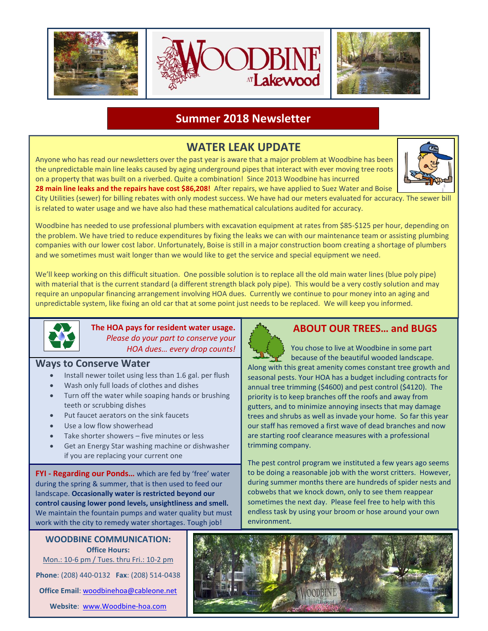

### **Summer 2018 Newsletter**

## **WATER LEAK UPDATE**

Anyone who has read our newsletters over the past year is aware that a major problem at Woodbine has been the unpredictable main line leaks caused by aging underground pipes that interact with ever moving tree roots on a property that was built on a riverbed. Quite a combination! Since 2013 Woodbine has incurred



**28 main line leaks and the repairs have cost \$86,208!** After repairs, we have applied to Suez Water and Boise City Utilities (sewer) for billing rebates with only modest success. We have had our meters evaluated for accuracy. The sewer bill is related to water usage and we have also had these mathematical calculations audited for accuracy.

Woodbine has needed to use professional plumbers with excavation equipment at rates from \$85-\$125 per hour, depending on the problem. We have tried to reduce expenditures by fixing the leaks we can with our maintenance team or assisting plumbing companies with our lower cost labor. Unfortunately, Boise is still in a major construction boom creating a shortage of plumbers and we sometimes must wait longer than we would like to get the service and special equipment we need.

We'll keep working on this difficult situation. One possible solution is to replace all the old main water lines (blue poly pipe) with material that is the current standard (a different strength black poly pipe). This would be a very costly solution and may require an unpopular financing arrangement involving HOA dues. Currently we continue to pour money into an aging and unpredictable system, like fixing an old car that at some point just needs to be replaced. We will keep you informed.



**The HOA pays for resident water usage.**  *Please do your part to conserve your HOA dues… every drop counts!*

#### **Ways to Conserve Water**

- Install newer toilet using less than 1.6 gal. per flush
- Wash only full loads of clothes and dishes
- Turn off the water while soaping hands or brushing teeth or scrubbing dishes
- Put faucet aerators on the sink faucets
- Use a low flow showerhead
- Take shorter showers five minutes or less
- Get an Energy Star washing machine or dishwasher if you are replacing your current one

**FYI - Regarding our Ponds…** which are fed by 'free' water during the spring & summer, that is then used to feed our landscape. **Occasionally water is restricted beyond our control causing lower pond levels, unsightliness and smell.** We maintain the fountain pumps and water quality but must work with the city to remedy water shortages. Tough job!

**WOODBINE COMMUNICATION: Office Hours:** Mon.: 10-6 pm / Tues. thru Fri.: 10-2 pm **Phone**: (208) 440-0132 **Fax**: (208) 514-0438 **Office Email**: [woodbinehoa@cableone.net](mailto:woodbinehoa@cableone.net)

**Website**: [www.Woodbine-hoa.com](http://www.woodbine-hoa.com/)

## **ABOUT OUR TREES… and BUGS**

 You chose to live at Woodbine in some part because of the beautiful wooded landscape. Along with this great amenity comes constant tree growth and seasonal pests. Your HOA has a budget including contracts for annual tree trimming (\$4600) and pest control (\$4120). The priority is to keep branches off the roofs and away from gutters, and to minimize annoying insects that may damage trees and shrubs as well as invade your home. So far this year our staff has removed a first wave of dead branches and now are starting roof clearance measures with a professional trimming company.

The pest control program we instituted a few years ago seems to be doing a reasonable job with the worst critters. However, during summer months there are hundreds of spider nests and cobwebs that we knock down, only to see them reappear sometimes the next day. Please feel free to help with this endless task by using your broom or hose around your own environment.

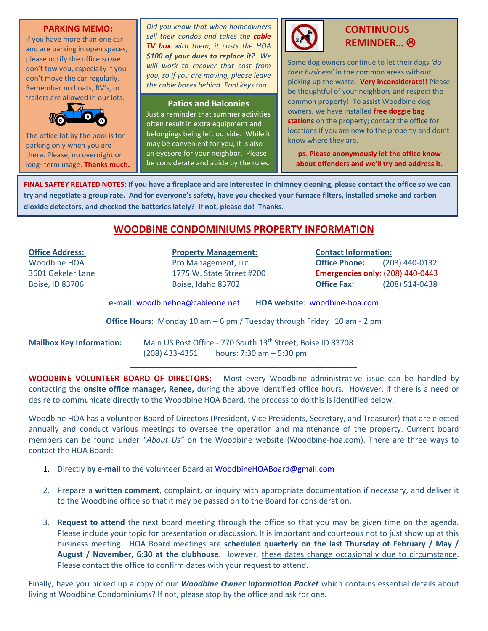#### **PARKING MEMO:**

If you have more than one car and are parking in open spaces, please notify the office so we don't tow you, especially if you don't move the car regularly. Remember no boats, RV's, or trailers are allowed in our lots.



The office lot by the pool is for parking only when you are there. Please, no overnight or long- term usage. **Thanks much.** *Did you know that when homeowners sell their condos and takes the cable TV box with them, it costs the HOA \$100 of your dues to replace it? We will work to recover that cost from you, so if you are moving, please leave the cable boxes behind. Pool keys too.*

#### **Patios and Balconies**

Just a reminder that summer activities often result in extra equipment and belongings being left outside. While it may be convenient for you, it is also an eyesore for your neighbor. Please be considerate and abide by the rules.



### **CONTINUOUS REMINDER…**

Some dog owners continue to let their dogs *'do their business'* in the common areas without picking up the waste. **Very inconsiderate!!** Please be thoughtful of your neighbors and respect the common property! To assist Woodbine dog owners, we have installed **free doggie bag stations** on the property; contact the office for locations if you are new to the property and don't know where they are.

**ps. Please anonymously let the office know about offenders and we'll try and address it.**

**FINAL SAFTEY RELATED NOTES: If you have a fireplace and are interested in chimney cleaning, please contact the office so we can try and negotiate a group rate. And for everyone's safety, have you checked your furnace filters, installed smoke and carbon dioxide detectors, and checked the batteries lately? If not, please do! Thanks.**

### **WOODBINE CONDOMINIUMS PROPERTY INFORMATION**

**Office Address: Property Management: Contact Information:** Woodbine HOA Pro Management, LLC **Office Phone:** (208) 440-0132 3601 Gekeler Lane 1775 W. State Street #200 **Emergencies only**: (208) 440-0443 Boise, ID 83706 Boise, Idaho 83702 **Office Fax:** (208) 514-0438 **e-mail:** [woodbinehoa@cableone.net](mailto:woodbine@cableone.net) **HOA website**: woodbine-hoa.com **Office Hours:** Monday 10 am – 6 pm / Tuesday through Friday 10 am - 2 pm **Mailbox Key Information:** Main US Post Office - 770 South 13<sup>th</sup> Street, Boise ID 83708 (208) 433-4351 hours: 7:30 am – 5:30 pm **\_\_\_\_\_\_\_\_\_\_\_\_\_\_\_\_\_\_\_\_\_\_\_\_\_\_\_\_\_\_\_\_\_\_\_\_\_\_\_\_\_\_\_\_\_\_\_\_\_\_\_\_**

**WOODBINE VOLUNTEER BOARD OF DIRECTORS:** Most every Woodbine administrative issue can be handled by contacting the **onsite office manager, Renee,** during the above identified office hours. However, if there is a need or desire to communicate directly to the Woodbine HOA Board, the process to do this is identified below.

Woodbine HOA has a volunteer Board of Directors (President, Vice Presidents, Secretary, and Treasurer) that are elected annually and conduct various meetings to oversee the operation and maintenance of the property. Current board members can be found under *"About Us"* on the Woodbine website (Woodbine-hoa.com). There are three ways to contact the HOA Board:

- 1. Directly **by e-mail** to the volunteer Board at [WoodbineHOABoard@gmail.com](mailto:WoodbineHOABoard@gmail.com)
- 2. Prepare a **written comment**, complaint, or inquiry with appropriate documentation if necessary, and deliver it to the Woodbine office so that it may be passed on to the Board for consideration.
- 3. **Request to attend** the next board meeting through the office so that you may be given time on the agenda. Please include your topic for presentation or discussion. It is important and courteous not to just show up at this business meeting. HOA Board meetings are **scheduled quarterly on the last Thursday of February / May / August / November, 6:30 at the clubhouse**. However, these dates change occasionally due to circumstance. Please contact the office to confirm dates with your request to attend.

Finally, have you picked up a copy of our *Woodbine Owner Information Packet* which contains essential details about living at Woodbine Condominiums? If not, please stop by the office and ask for one.